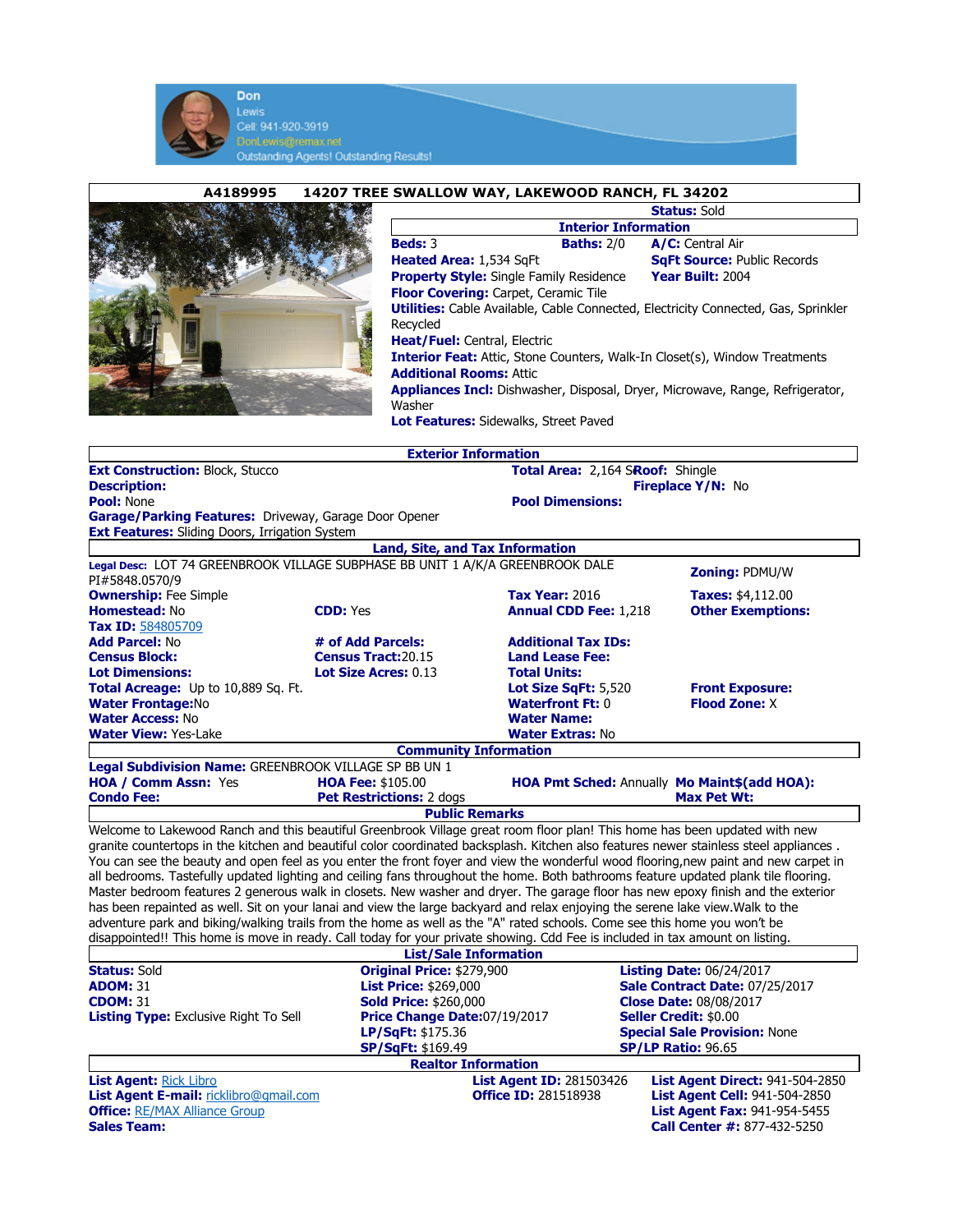

| A4189995<br>14207 TREE SWALLOW WAY, LAKEWOOD RANCH, FL 34202                                                                                                                                                                                                                 |                                                              |                                                                               |                                                               |  |
|------------------------------------------------------------------------------------------------------------------------------------------------------------------------------------------------------------------------------------------------------------------------------|--------------------------------------------------------------|-------------------------------------------------------------------------------|---------------------------------------------------------------|--|
|                                                                                                                                                                                                                                                                              |                                                              | <b>Status: Sold</b>                                                           |                                                               |  |
|                                                                                                                                                                                                                                                                              |                                                              | <b>Interior Information</b>                                                   |                                                               |  |
|                                                                                                                                                                                                                                                                              | Beds: 3                                                      | <b>Baths: 2/0</b>                                                             | A/C: Central Air                                              |  |
|                                                                                                                                                                                                                                                                              | Heated Area: 1,534 SqFt                                      |                                                                               | <b>SqFt Source: Public Records</b>                            |  |
|                                                                                                                                                                                                                                                                              |                                                              | <b>Property Style:</b> Single Family Residence<br>Year Built: 2004            |                                                               |  |
| Floor Covering: Carpet, Ceramic Tile                                                                                                                                                                                                                                         |                                                              |                                                                               |                                                               |  |
| <b>Utilities:</b> Cable Available, Cable Connected, Electricity Connected, Gas, Sprinkler                                                                                                                                                                                    |                                                              |                                                                               |                                                               |  |
| Recycled<br><b>Heat/Fuel: Central, Electric</b>                                                                                                                                                                                                                              |                                                              |                                                                               |                                                               |  |
|                                                                                                                                                                                                                                                                              |                                                              |                                                                               |                                                               |  |
| <b>Interior Feat:</b> Attic, Stone Counters, Walk-In Closet(s), Window Treatments                                                                                                                                                                                            |                                                              |                                                                               |                                                               |  |
| <b>Additional Rooms: Attic</b>                                                                                                                                                                                                                                               |                                                              |                                                                               |                                                               |  |
|                                                                                                                                                                                                                                                                              |                                                              | Appliances Incl: Dishwasher, Disposal, Dryer, Microwave, Range, Refrigerator, |                                                               |  |
|                                                                                                                                                                                                                                                                              | Washer                                                       |                                                                               |                                                               |  |
|                                                                                                                                                                                                                                                                              | Lot Features: Sidewalks, Street Paved                        |                                                                               |                                                               |  |
| <b>Exterior Information</b>                                                                                                                                                                                                                                                  |                                                              |                                                                               |                                                               |  |
| Total Area: 2,164 SRoof: Shingle<br><b>Ext Construction: Block, Stucco</b>                                                                                                                                                                                                   |                                                              |                                                                               |                                                               |  |
| <b>Description:</b>                                                                                                                                                                                                                                                          |                                                              | Fireplace Y/N: No                                                             |                                                               |  |
| <b>Pool: None</b>                                                                                                                                                                                                                                                            |                                                              | <b>Pool Dimensions:</b>                                                       |                                                               |  |
| Garage/Parking Features: Driveway, Garage Door Opener                                                                                                                                                                                                                        |                                                              |                                                                               |                                                               |  |
| <b>Ext Features:</b> Sliding Doors, Irrigation System                                                                                                                                                                                                                        |                                                              |                                                                               |                                                               |  |
|                                                                                                                                                                                                                                                                              | Land, Site, and Tax Information                              |                                                                               |                                                               |  |
| Legal Desc: LOT 74 GREENBROOK VILLAGE SUBPHASE BB UNIT 1 A/K/A GREENBROOK DALE                                                                                                                                                                                               |                                                              |                                                                               | <b>Zoning: PDMU/W</b>                                         |  |
| PI#5848.0570/9                                                                                                                                                                                                                                                               |                                                              |                                                                               |                                                               |  |
| <b>Ownership:</b> Fee Simple<br><b>Homestead: No</b>                                                                                                                                                                                                                         | <b>CDD: Yes</b>                                              | <b>Tax Year: 2016</b>                                                         | Taxes: \$4,112.00                                             |  |
| <b>Tax ID: 584805709</b>                                                                                                                                                                                                                                                     |                                                              | <b>Annual CDD Fee: 1,218</b>                                                  | <b>Other Exemptions:</b>                                      |  |
| <b>Add Parcel: No</b>                                                                                                                                                                                                                                                        | # of Add Parcels:                                            | <b>Additional Tax IDs:</b>                                                    |                                                               |  |
| <b>Census Block:</b>                                                                                                                                                                                                                                                         | Census Tract: 20.15                                          | <b>Land Lease Fee:</b>                                                        |                                                               |  |
| <b>Lot Dimensions:</b>                                                                                                                                                                                                                                                       | Lot Size Acres: 0.13                                         | <b>Total Units:</b>                                                           |                                                               |  |
| Total Acreage: Up to 10,889 Sq. Ft.                                                                                                                                                                                                                                          |                                                              | Lot Size SqFt: 5,520                                                          | <b>Front Exposure:</b>                                        |  |
| <b>Water Frontage:No</b>                                                                                                                                                                                                                                                     |                                                              | <b>Waterfront Ft: 0</b>                                                       | <b>Flood Zone: X</b>                                          |  |
| <b>Water Access: No</b>                                                                                                                                                                                                                                                      |                                                              | <b>Water Name:</b>                                                            |                                                               |  |
| <b>Water View: Yes-Lake</b>                                                                                                                                                                                                                                                  |                                                              | <b>Water Extras: No</b>                                                       |                                                               |  |
| <b>Community Information</b>                                                                                                                                                                                                                                                 |                                                              |                                                                               |                                                               |  |
| Legal Subdivision Name: GREENBROOK VILLAGE SP BB UN 1<br>HOA Pmt Sched: Annually Mo Maint\$(add HOA):                                                                                                                                                                        |                                                              |                                                                               |                                                               |  |
| HOA / Comm Assn: Yes<br><b>Condo Fee:</b>                                                                                                                                                                                                                                    | HOA Fee: \$105.00<br>Pet Restrictions: 2 dogs                |                                                                               | <b>Max Pet Wt:</b>                                            |  |
|                                                                                                                                                                                                                                                                              | <b>Public Remarks</b>                                        |                                                                               |                                                               |  |
| Welcome to Lakewood Ranch and this beautiful Greenbrook Village great room floor plan! This home has been updated with new                                                                                                                                                   |                                                              |                                                                               |                                                               |  |
|                                                                                                                                                                                                                                                                              |                                                              |                                                                               |                                                               |  |
| granite countertops in the kitchen and beautiful color coordinated backsplash. Kitchen also features newer stainless steel appliances.<br>You can see the beauty and open feel as you enter the front foyer and view the wonderful wood flooring,new paint and new carpet in |                                                              |                                                                               |                                                               |  |
| all bedrooms. Tastefully updated lighting and ceiling fans throughout the home. Both bathrooms feature updated plank tile flooring.                                                                                                                                          |                                                              |                                                                               |                                                               |  |
| Master bedroom features 2 generous walk in closets. New washer and dryer. The garage floor has new epoxy finish and the exterior                                                                                                                                             |                                                              |                                                                               |                                                               |  |
| has been repainted as well. Sit on your lanai and view the large backyard and relax enjoying the serene lake view. Walk to the                                                                                                                                               |                                                              |                                                                               |                                                               |  |
| adventure park and biking/walking trails from the home as well as the "A" rated schools. Come see this home you won't be                                                                                                                                                     |                                                              |                                                                               |                                                               |  |
| disappointed!! This home is move in ready. Call today for your private showing. Cdd Fee is included in tax amount on listing.                                                                                                                                                |                                                              |                                                                               |                                                               |  |
| <b>List/Sale Information</b>                                                                                                                                                                                                                                                 |                                                              |                                                                               |                                                               |  |
| <b>Status: Sold</b>                                                                                                                                                                                                                                                          | Original Price: \$279,900                                    |                                                                               | <b>Listing Date: 06/24/2017</b>                               |  |
| <b>ADOM: 31</b><br><b>CDOM: 31</b>                                                                                                                                                                                                                                           | <b>List Price: \$269,000</b>                                 |                                                                               | Sale Contract Date: 07/25/2017                                |  |
| <b>Listing Type: Exclusive Right To Sell</b>                                                                                                                                                                                                                                 | <b>Sold Price: \$260,000</b><br>Price Change Date:07/19/2017 |                                                                               | <b>Close Date: 08/08/2017</b><br><b>Seller Credit: \$0.00</b> |  |
|                                                                                                                                                                                                                                                                              | LP/SqFt: \$175.36                                            |                                                                               | <b>Special Sale Provision: None</b>                           |  |
|                                                                                                                                                                                                                                                                              | <b>SP/SqFt: \$169.49</b>                                     |                                                                               | <b>SP/LP Ratio: 96.65</b>                                     |  |
| <b>Realtor Information</b>                                                                                                                                                                                                                                                   |                                                              |                                                                               |                                                               |  |
| <b>List Agent: Rick Libro</b>                                                                                                                                                                                                                                                |                                                              | <b>List Agent ID: 281503426</b>                                               | <b>List Agent Direct: 941-504-2850</b>                        |  |
| List Agent E-mail: ricklibro@gmail.com                                                                                                                                                                                                                                       |                                                              | <b>Office ID: 281518938</b>                                                   | <b>List Agent Cell: 941-504-2850</b>                          |  |
| <b>Office: RE/MAX Alliance Group</b>                                                                                                                                                                                                                                         |                                                              |                                                                               | <b>List Agent Fax: 941-954-5455</b>                           |  |
| <b>Sales Team:</b>                                                                                                                                                                                                                                                           |                                                              |                                                                               | <b>Call Center #: 877-432-5250</b>                            |  |